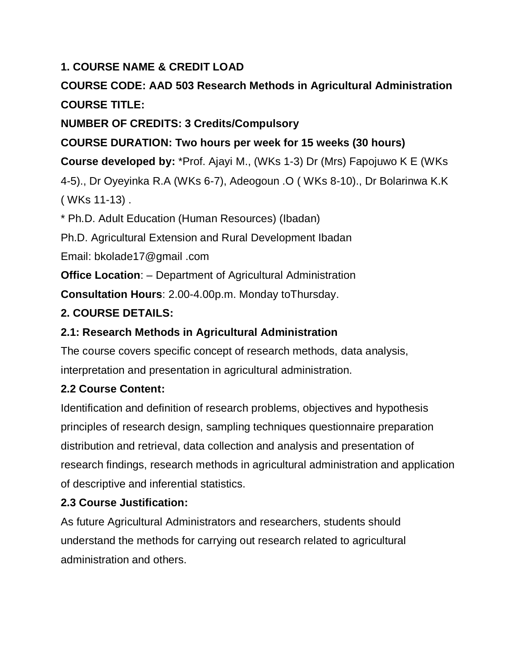### **1. COURSE NAME & CREDIT LOAD**

# **COURSE CODE: AAD 503 Research Methods in Agricultural Administration COURSE TITLE:**

## **NUMBER OF CREDITS: 3 Credits/Compulsory**

## **COURSE DURATION: Two hours per week for 15 weeks (30 hours)**

**Course developed by:** \*Prof. Ajayi M., (WKs 1-3) Dr (Mrs) Fapojuwo K E (WKs

4-5)., Dr Oyeyinka R.A (WKs 6-7), Adeogoun .O ( WKs 8-10)., Dr Bolarinwa K.K ( WKs 11-13) .

\* Ph.D. Adult Education (Human Resources) (Ibadan)

Ph.D. Agricultural Extension and Rural Development Ibadan

Email: bkolade17@gmail .com

**Office Location:** – Department of Agricultural Administration

**Consultation Hours**: 2.00-4.00p.m. Monday toThursday.

## **2. COURSE DETAILS:**

## **2.1: Research Methods in Agricultural Administration**

The course covers specific concept of research methods, data analysis, interpretation and presentation in agricultural administration.

## **2.2 Course Content:**

Identification and definition of research problems, objectives and hypothesis principles of research design, sampling techniques questionnaire preparation distribution and retrieval, data collection and analysis and presentation of research findings, research methods in agricultural administration and application of descriptive and inferential statistics.

## **2.3 Course Justification:**

As future Agricultural Administrators and researchers, students should understand the methods for carrying out research related to agricultural administration and others.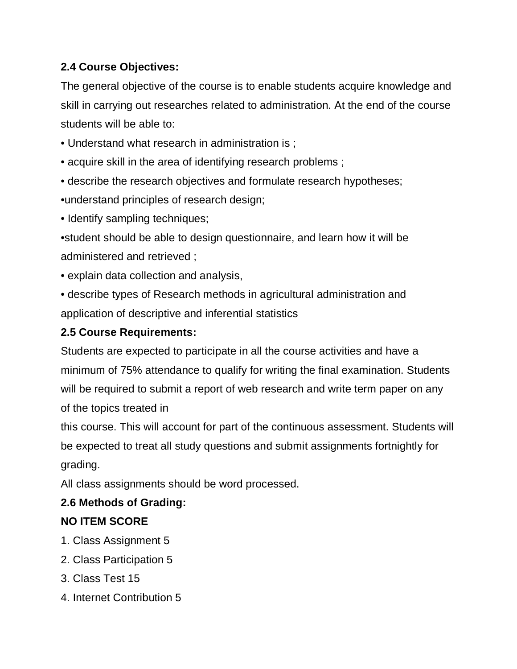## **2.4 Course Objectives:**

The general objective of the course is to enable students acquire knowledge and skill in carrying out researches related to administration. At the end of the course students will be able to:

- Understand what research in administration is ;
- acquire skill in the area of identifying research problems ;
- describe the research objectives and formulate research hypotheses;
- •understand principles of research design;
- Identify sampling techniques;

•student should be able to design questionnaire, and learn how it will be administered and retrieved ;

- explain data collection and analysis,
- describe types of Research methods in agricultural administration and application of descriptive and inferential statistics

## **2.5 Course Requirements:**

Students are expected to participate in all the course activities and have a minimum of 75% attendance to qualify for writing the final examination. Students will be required to submit a report of web research and write term paper on any of the topics treated in

this course. This will account for part of the continuous assessment. Students will be expected to treat all study questions and submit assignments fortnightly for grading.

All class assignments should be word processed.

## **2.6 Methods of Grading:**

## **NO ITEM SCORE**

- 1. Class Assignment 5
- 2. Class Participation 5
- 3. Class Test 15
- 4. Internet Contribution 5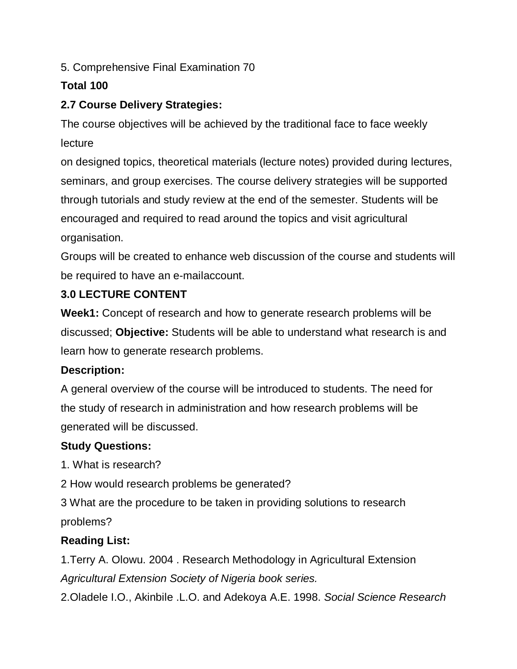5. Comprehensive Final Examination 70

### **Total 100**

## **2.7 Course Delivery Strategies:**

The course objectives will be achieved by the traditional face to face weekly lecture

on designed topics, theoretical materials (lecture notes) provided during lectures, seminars, and group exercises. The course delivery strategies will be supported through tutorials and study review at the end of the semester. Students will be encouraged and required to read around the topics and visit agricultural organisation.

Groups will be created to enhance web discussion of the course and students will be required to have an e-mailaccount.

## **3.0 LECTURE CONTENT**

**Week1:** Concept of research and how to generate research problems will be discussed; **Objective:** Students will be able to understand what research is and learn how to generate research problems.

### **Description:**

A general overview of the course will be introduced to students. The need for the study of research in administration and how research problems will be generated will be discussed.

### **Study Questions:**

1. What is research?

2 How would research problems be generated?

3 What are the procedure to be taken in providing solutions to research problems?

## **Reading List:**

1.Terry A. Olowu. 2004 . Research Methodology in Agricultural Extension *Agricultural Extension Society of Nigeria book series.*

2.Oladele I.O., Akinbile .L.O. and Adekoya A.E. 1998. *Social Science Research*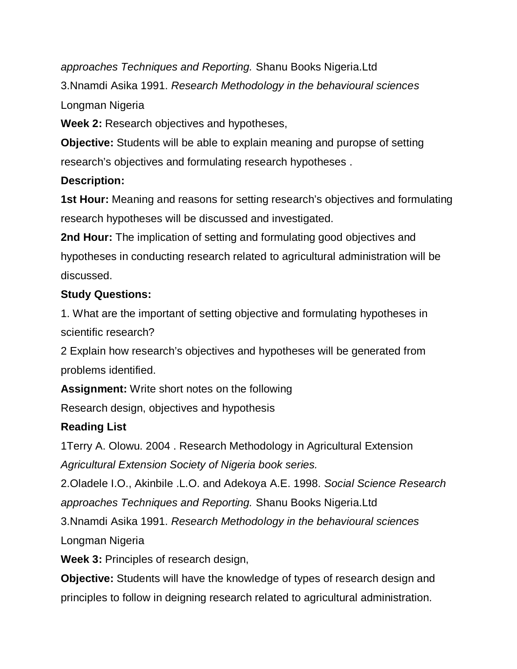*approaches Techniques and Reporting.* Shanu Books Nigeria.Ltd 3.Nnamdi Asika 1991. *Research Methodology in the behavioural sciences*  Longman Nigeria

**Week 2:** Research objectives and hypotheses,

**Objective:** Students will be able to explain meaning and puropse of setting research's objectives and formulating research hypotheses .

### **Description:**

**1st Hour:** Meaning and reasons for setting research's objectives and formulating research hypotheses will be discussed and investigated.

**2nd Hour:** The implication of setting and formulating good objectives and hypotheses in conducting research related to agricultural administration will be discussed.

## **Study Questions:**

1. What are the important of setting objective and formulating hypotheses in scientific research?

2 Explain how research's objectives and hypotheses will be generated from problems identified.

**Assignment:** Write short notes on the following

Research design, objectives and hypothesis

## **Reading List**

1Terry A. Olowu. 2004 . Research Methodology in Agricultural Extension *Agricultural Extension Society of Nigeria book series.*

2.Oladele I.O., Akinbile .L.O. and Adekoya A.E. 1998. *Social Science Research approaches Techniques and Reporting.* Shanu Books Nigeria.Ltd

3.Nnamdi Asika 1991. *Research Methodology in the behavioural sciences* 

Longman Nigeria

**Week 3:** Principles of research design,

**Objective:** Students will have the knowledge of types of research design and principles to follow in deigning research related to agricultural administration.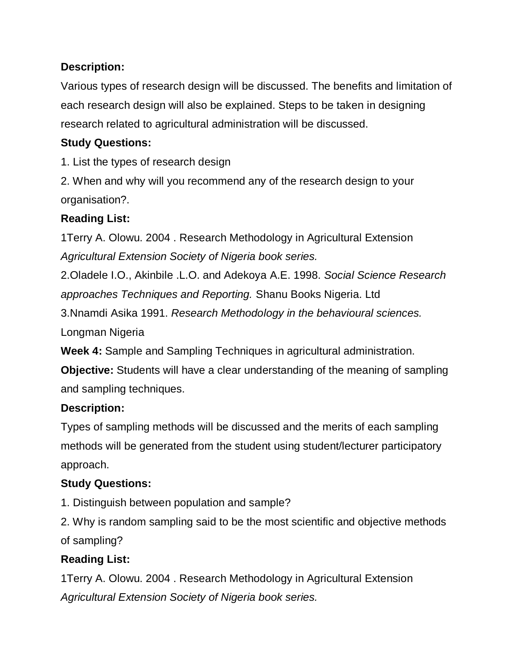Various types of research design will be discussed. The benefits and limitation of each research design will also be explained. Steps to be taken in designing research related to agricultural administration will be discussed.

### **Study Questions:**

1. List the types of research design

2. When and why will you recommend any of the research design to your organisation?.

## **Reading List:**

1Terry A. Olowu. 2004 . Research Methodology in Agricultural Extension *Agricultural Extension Society of Nigeria book series.*

2.Oladele I.O., Akinbile .L.O. and Adekoya A.E. 1998. *Social Science Research approaches Techniques and Reporting.* Shanu Books Nigeria. Ltd

3.Nnamdi Asika 1991. *Research Methodology in the behavioural sciences.* 

Longman Nigeria

**Week 4:** Sample and Sampling Techniques in agricultural administration.

**Objective:** Students will have a clear understanding of the meaning of sampling and sampling techniques.

## **Description:**

Types of sampling methods will be discussed and the merits of each sampling methods will be generated from the student using student/lecturer participatory approach.

## **Study Questions:**

1. Distinguish between population and sample?

2. Why is random sampling said to be the most scientific and objective methods of sampling?

## **Reading List:**

1Terry A. Olowu. 2004 . Research Methodology in Agricultural Extension *Agricultural Extension Society of Nigeria book series.*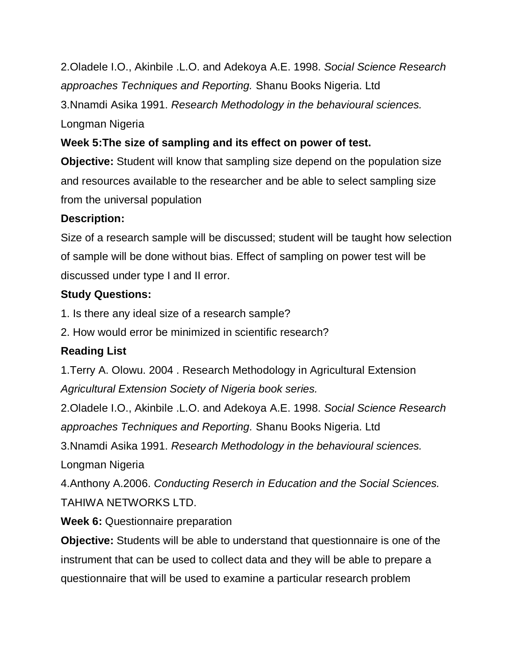2.Oladele I.O., Akinbile .L.O. and Adekoya A.E. 1998. *Social Science Research approaches Techniques and Reporting.* Shanu Books Nigeria. Ltd

3.Nnamdi Asika 1991. *Research Methodology in the behavioural sciences.* 

Longman Nigeria

### **Week 5:The size of sampling and its effect on power of test.**

**Objective:** Student will know that sampling size depend on the population size and resources available to the researcher and be able to select sampling size from the universal population

### **Description:**

Size of a research sample will be discussed; student will be taught how selection of sample will be done without bias. Effect of sampling on power test will be discussed under type I and II error.

### **Study Questions:**

1. Is there any ideal size of a research sample?

2. How would error be minimized in scientific research?

## **Reading List**

1.Terry A. Olowu. 2004 . Research Methodology in Agricultural Extension *Agricultural Extension Society of Nigeria book series.*

2.Oladele I.O., Akinbile .L.O. and Adekoya A.E. 1998. *Social Science Research approaches Techniques and Reporting.* Shanu Books Nigeria. Ltd

3.Nnamdi Asika 1991. *Research Methodology in the behavioural sciences.* 

Longman Nigeria

4.Anthony A.2006. *Conducting Reserch in Education and the Social Sciences.* TAHIWA NETWORKS LTD.

**Week 6:** Questionnaire preparation

**Objective:** Students will be able to understand that questionnaire is one of the instrument that can be used to collect data and they will be able to prepare a questionnaire that will be used to examine a particular research problem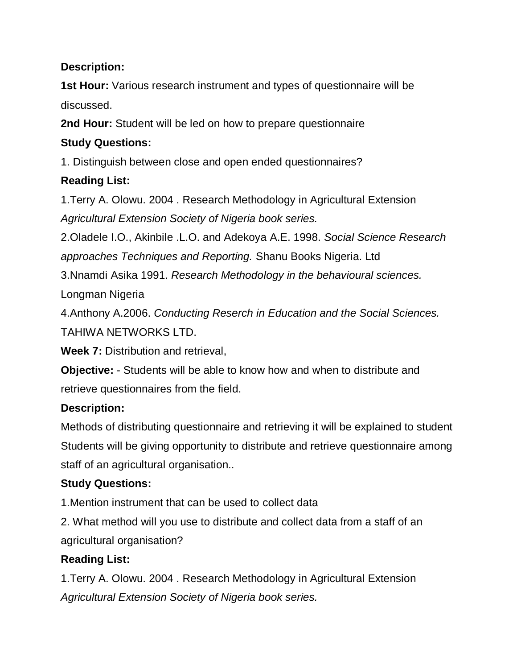**1st Hour:** Various research instrument and types of questionnaire will be discussed.

**2nd Hour:** Student will be led on how to prepare questionnaire

## **Study Questions:**

1. Distinguish between close and open ended questionnaires?

## **Reading List:**

1.Terry A. Olowu. 2004 . Research Methodology in Agricultural Extension *Agricultural Extension Society of Nigeria book series.*

2.Oladele I.O., Akinbile .L.O. and Adekoya A.E. 1998. *Social Science Research approaches Techniques and Reporting.* Shanu Books Nigeria. Ltd

3.Nnamdi Asika 1991. *Research Methodology in the behavioural sciences.* 

Longman Nigeria

4.Anthony A.2006. *Conducting Reserch in Education and the Social Sciences.*

TAHIWA NETWORKS LTD.

**Week 7:** Distribution and retrieval,

**Objective:** - Students will be able to know how and when to distribute and retrieve questionnaires from the field.

## **Description:**

Methods of distributing questionnaire and retrieving it will be explained to student Students will be giving opportunity to distribute and retrieve questionnaire among staff of an agricultural organisation..

## **Study Questions:**

1.Mention instrument that can be used to collect data

2. What method will you use to distribute and collect data from a staff of an agricultural organisation?

# **Reading List:**

1.Terry A. Olowu. 2004 . Research Methodology in Agricultural Extension *Agricultural Extension Society of Nigeria book series.*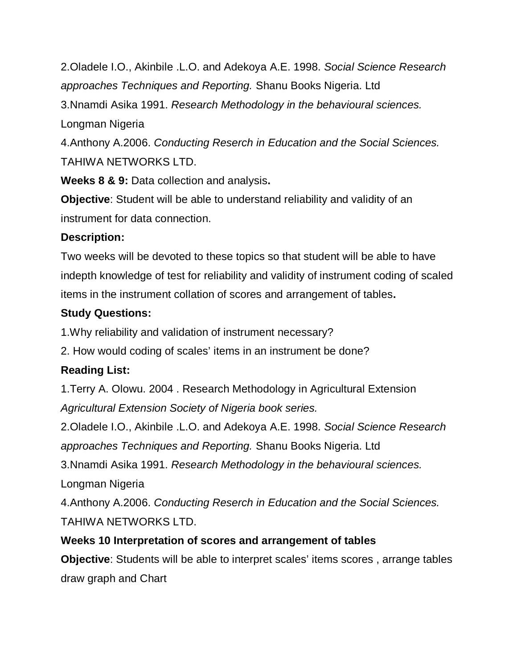2.Oladele I.O., Akinbile .L.O. and Adekoya A.E. 1998. *Social Science Research approaches Techniques and Reporting.* Shanu Books Nigeria. Ltd

3.Nnamdi Asika 1991. *Research Methodology in the behavioural sciences.* 

Longman Nigeria

4.Anthony A.2006. *Conducting Reserch in Education and the Social Sciences.* TAHIWA NETWORKS LTD.

**Weeks 8 & 9:** Data collection and analysis**.**

**Objective**: Student will be able to understand reliability and validity of an instrument for data connection.

#### **Description:**

Two weeks will be devoted to these topics so that student will be able to have indepth knowledge of test for reliability and validity of instrument coding of scaled items in the instrument collation of scores and arrangement of tables**.**

#### **Study Questions:**

1.Why reliability and validation of instrument necessary?

2. How would coding of scales' items in an instrument be done?

### **Reading List:**

1.Terry A. Olowu. 2004 . Research Methodology in Agricultural Extension *Agricultural Extension Society of Nigeria book series.*

2.Oladele I.O., Akinbile .L.O. and Adekoya A.E. 1998. *Social Science Research approaches Techniques and Reporting.* Shanu Books Nigeria. Ltd

3.Nnamdi Asika 1991. *Research Methodology in the behavioural sciences.*  Longman Nigeria

4.Anthony A.2006. *Conducting Reserch in Education and the Social Sciences.* TAHIWA NETWORKS LTD.

### **Weeks 10 Interpretation of scores and arrangement of tables**

**Objective**: Students will be able to interpret scales' items scores , arrange tables draw graph and Chart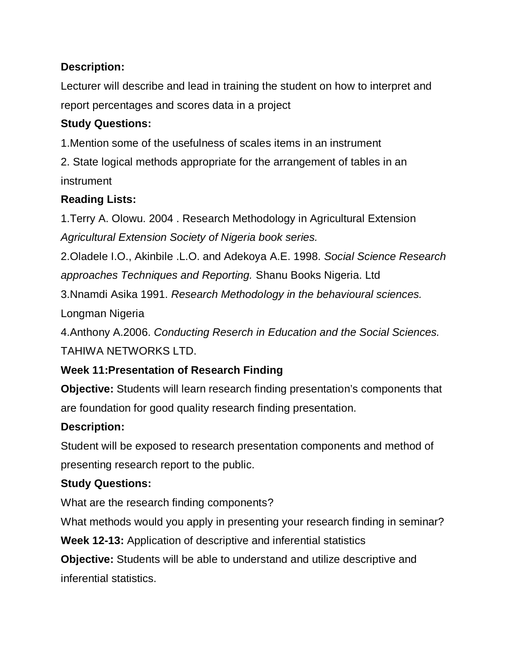Lecturer will describe and lead in training the student on how to interpret and report percentages and scores data in a project

## **Study Questions:**

1.Mention some of the usefulness of scales items in an instrument

2. State logical methods appropriate for the arrangement of tables in an instrument

## **Reading Lists:**

1.Terry A. Olowu. 2004 . Research Methodology in Agricultural Extension *Agricultural Extension Society of Nigeria book series.*

2.Oladele I.O., Akinbile .L.O. and Adekoya A.E. 1998. *Social Science Research approaches Techniques and Reporting.* Shanu Books Nigeria. Ltd

3.Nnamdi Asika 1991. *Research Methodology in the behavioural sciences.* 

Longman Nigeria

4.Anthony A.2006. *Conducting Reserch in Education and the Social Sciences.* TAHIWA NETWORKS LTD.

## **Week 11:Presentation of Research Finding**

**Objective:** Students will learn research finding presentation's components that are foundation for good quality research finding presentation.

## **Description:**

Student will be exposed to research presentation components and method of presenting research report to the public.

## **Study Questions:**

What are the research finding components?

What methods would you apply in presenting your research finding in seminar?

**Week 12-13:** Application of descriptive and inferential statistics

**Objective:** Students will be able to understand and utilize descriptive and inferential statistics.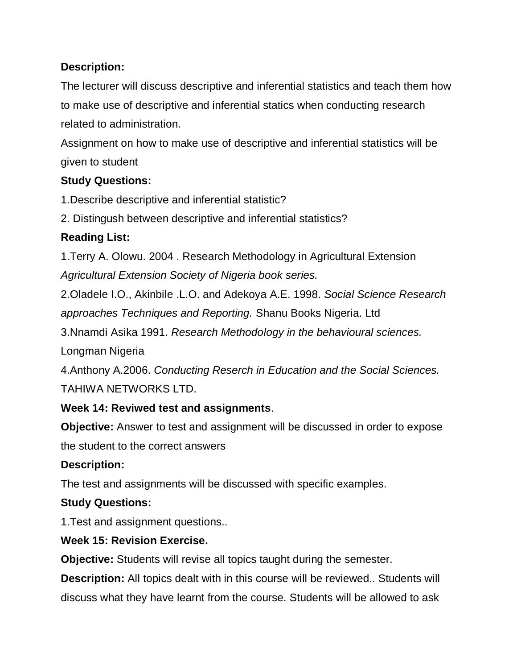The lecturer will discuss descriptive and inferential statistics and teach them how to make use of descriptive and inferential statics when conducting research related to administration.

Assignment on how to make use of descriptive and inferential statistics will be given to student

## **Study Questions:**

1.Describe descriptive and inferential statistic?

2. Distingush between descriptive and inferential statistics?

## **Reading List:**

1.Terry A. Olowu. 2004 . Research Methodology in Agricultural Extension *Agricultural Extension Society of Nigeria book series.*

2.Oladele I.O., Akinbile .L.O. and Adekoya A.E. 1998. *Social Science Research approaches Techniques and Reporting.* Shanu Books Nigeria. Ltd

3.Nnamdi Asika 1991. *Research Methodology in the behavioural sciences.*  Longman Nigeria

4.Anthony A.2006. *Conducting Reserch in Education and the Social Sciences.* TAHIWA NETWORKS LTD.

## **Week 14: Reviwed test and assignments**.

**Objective:** Answer to test and assignment will be discussed in order to expose the student to the correct answers

## **Description:**

The test and assignments will be discussed with specific examples.

### **Study Questions:**

1.Test and assignment questions..

## **Week 15: Revision Exercise.**

**Objective:** Students will revise all topics taught during the semester.

**Description:** All topics dealt with in this course will be reviewed.. Students will discuss what they have learnt from the course. Students will be allowed to ask